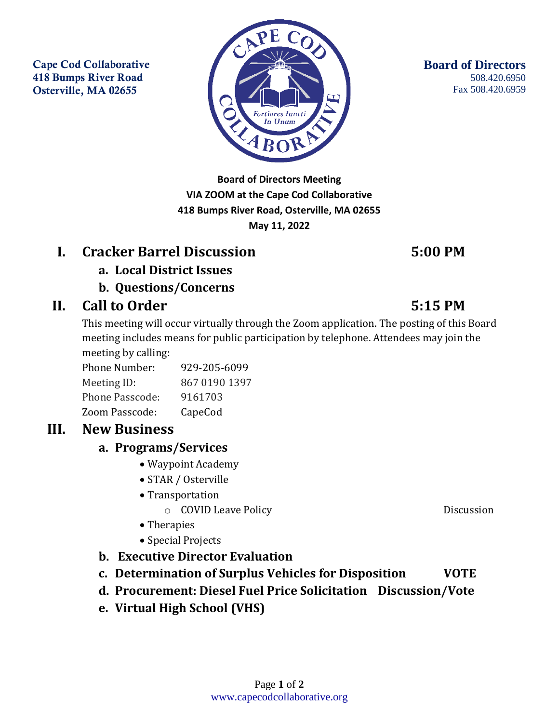Cape Cod Collaborative 418 Bumps River Road Osterville, MA 02655



**Board of Directors Meeting VIA ZOOM at the Cape Cod Collaborative 418 Bumps River Road, Osterville, MA 02655 May 11, 2022**

# **I. Cracker Barrel Discussion 5:00 PM**

- **a. Local District Issues**
- **b. Questions/Concerns**

# **II. Call to Order 5:15 PM**

This meeting will occur virtually through the Zoom application. The posting of this Board meeting includes means for public participation by telephone. Attendees may join the meeting by calling:

Phone Number: 929-205-6099 Meeting ID: 867 0190 1397 Phone Passcode: 9161703 Zoom Passcode: CapeCod

# **III. New Business**

### **a. Programs/Services**

- Waypoint Academy
- STAR / Osterville
- Transportation
	- o COVID Leave Policy Discussion
- Therapies
- Special Projects
- **b. Executive Director Evaluation**
- **c. Determination of Surplus Vehicles for Disposition VOTE**
- **d. Procurement: Diesel Fuel Price Solicitation Discussion/Vote**
- **e. Virtual High School (VHS)**

**Board of Directors** 508.420.6950 Fax 508.420.6959